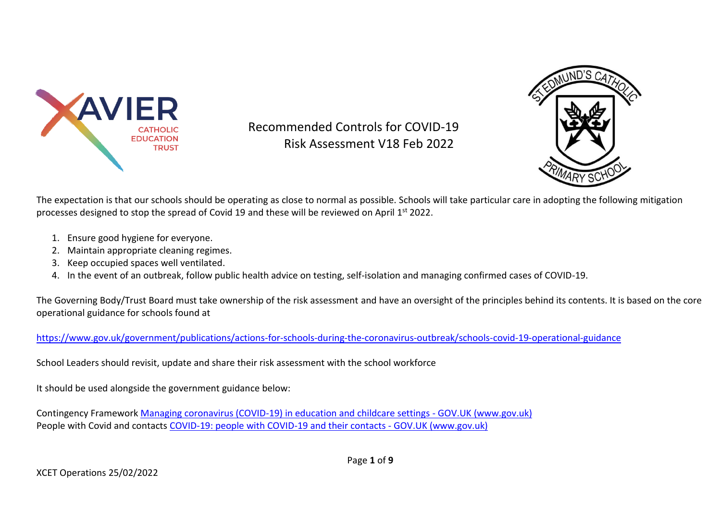

Recommended Controls for COVID-19 Risk Assessment V18 Feb 2022



The expectation is that our schools should be operating as close to normal as possible. Schools will take particular care in adopting the following mitigation processes designed to stop the spread of Covid 19 and these will be reviewed on April 1<sup>st</sup> 2022.

- 1. Ensure good hygiene for everyone.
- 2. Maintain appropriate cleaning regimes.
- 3. Keep occupied spaces well ventilated.
- 4. In the event of an outbreak, follow public health advice on testing, self-isolation and managing confirmed cases of COVID-19.

The Governing Body/Trust Board must take ownership of the risk assessment and have an oversight of the principles behind its contents. It is based on the core operational guidance for schools found at

<https://www.gov.uk/government/publications/actions-for-schools-during-the-coronavirus-outbreak/schools-covid-19-operational-guidance>

School Leaders should revisit, update and share their risk assessment with the school workforce

It should be used alongside the government guidance below:

Contingency Framework [Managing coronavirus \(COVID-19\) in education and childcare settings -](https://www.gov.uk/government/publications/coronavirus-covid-19-local-restrictions-in-education-and-childcare-settings#annexb) GOV.UK (www.gov.uk) People with Covid and contacts [COVID-19: people with COVID-19 and their contacts -](https://www.gov.uk/government/publications/covid-19-people-with-covid-19-and-their-contacts) GOV.UK (www.gov.uk)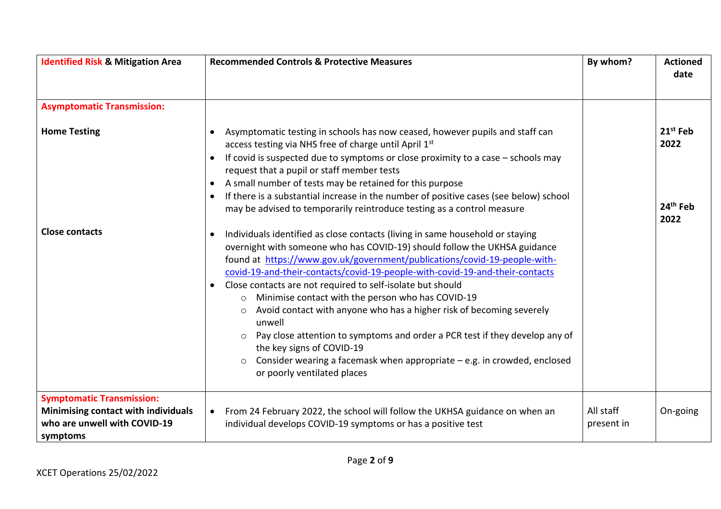| <b>Identified Risk &amp; Mitigation Area</b>                                                                        | <b>Recommended Controls &amp; Protective Measures</b>                                                                                                                                                                                                                                                                                                                                                                                                                                                                                                                                                                                                                                                                                                                                                                                                         | By whom?                | <b>Actioned</b><br>date                               |
|---------------------------------------------------------------------------------------------------------------------|---------------------------------------------------------------------------------------------------------------------------------------------------------------------------------------------------------------------------------------------------------------------------------------------------------------------------------------------------------------------------------------------------------------------------------------------------------------------------------------------------------------------------------------------------------------------------------------------------------------------------------------------------------------------------------------------------------------------------------------------------------------------------------------------------------------------------------------------------------------|-------------------------|-------------------------------------------------------|
| <b>Asymptomatic Transmission:</b>                                                                                   |                                                                                                                                                                                                                                                                                                                                                                                                                                                                                                                                                                                                                                                                                                                                                                                                                                                               |                         |                                                       |
| <b>Home Testing</b><br><b>Close contacts</b>                                                                        | Asymptomatic testing in schools has now ceased, however pupils and staff can<br>$\bullet$<br>access testing via NHS free of charge until April 1st<br>If covid is suspected due to symptoms or close proximity to a case $-$ schools may<br>request that a pupil or staff member tests<br>A small number of tests may be retained for this purpose<br>If there is a substantial increase in the number of positive cases (see below) school<br>$\bullet$<br>may be advised to temporarily reintroduce testing as a control measure<br>Individuals identified as close contacts (living in same household or staying<br>overnight with someone who has COVID-19) should follow the UKHSA guidance<br>found at https://www.gov.uk/government/publications/covid-19-people-with-<br>covid-19-and-their-contacts/covid-19-people-with-covid-19-and-their-contacts |                         | $21^{st}$ Feb<br>2022<br>24 <sup>th</sup> Feb<br>2022 |
|                                                                                                                     | Close contacts are not required to self-isolate but should<br>$\bullet$<br>o Minimise contact with the person who has COVID-19<br>Avoid contact with anyone who has a higher risk of becoming severely<br>$\circ$<br>unwell<br>Pay close attention to symptoms and order a PCR test if they develop any of<br>the key signs of COVID-19<br>Consider wearing a facemask when appropriate - e.g. in crowded, enclosed<br>or poorly ventilated places                                                                                                                                                                                                                                                                                                                                                                                                            |                         |                                                       |
| <b>Symptomatic Transmission:</b><br>Minimising contact with individuals<br>who are unwell with COVID-19<br>symptoms | From 24 February 2022, the school will follow the UKHSA guidance on when an<br>$\bullet$<br>individual develops COVID-19 symptoms or has a positive test                                                                                                                                                                                                                                                                                                                                                                                                                                                                                                                                                                                                                                                                                                      | All staff<br>present in | On-going                                              |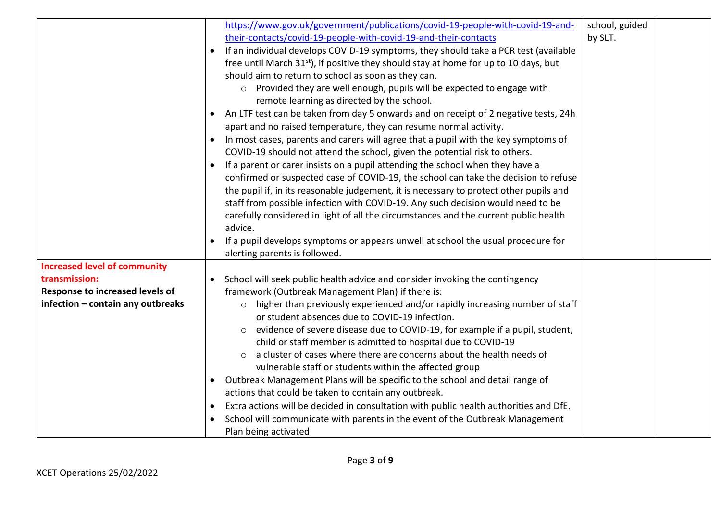|                                     |           | https://www.gov.uk/government/publications/covid-19-people-with-covid-19-and-                                                  | school, guided |  |
|-------------------------------------|-----------|--------------------------------------------------------------------------------------------------------------------------------|----------------|--|
|                                     |           | their-contacts/covid-19-people-with-covid-19-and-their-contacts                                                                | by SLT.        |  |
|                                     |           | If an individual develops COVID-19 symptoms, they should take a PCR test (available                                            |                |  |
|                                     |           | free until March 31 <sup>st</sup> ), if positive they should stay at home for up to 10 days, but                               |                |  |
|                                     |           | should aim to return to school as soon as they can.                                                                            |                |  |
|                                     |           | Provided they are well enough, pupils will be expected to engage with<br>$\circ$<br>remote learning as directed by the school. |                |  |
|                                     | $\bullet$ | An LTF test can be taken from day 5 onwards and on receipt of 2 negative tests, 24h                                            |                |  |
|                                     |           | apart and no raised temperature, they can resume normal activity.                                                              |                |  |
|                                     |           | In most cases, parents and carers will agree that a pupil with the key symptoms of                                             |                |  |
|                                     |           | COVID-19 should not attend the school, given the potential risk to others.                                                     |                |  |
|                                     |           | If a parent or carer insists on a pupil attending the school when they have a                                                  |                |  |
|                                     |           | confirmed or suspected case of COVID-19, the school can take the decision to refuse                                            |                |  |
|                                     |           | the pupil if, in its reasonable judgement, it is necessary to protect other pupils and                                         |                |  |
|                                     |           | staff from possible infection with COVID-19. Any such decision would need to be                                                |                |  |
|                                     |           | carefully considered in light of all the circumstances and the current public health                                           |                |  |
|                                     |           | advice.                                                                                                                        |                |  |
|                                     | $\bullet$ | If a pupil develops symptoms or appears unwell at school the usual procedure for                                               |                |  |
|                                     |           | alerting parents is followed.                                                                                                  |                |  |
| <b>Increased level of community</b> |           |                                                                                                                                |                |  |
| transmission:                       | $\bullet$ | School will seek public health advice and consider invoking the contingency                                                    |                |  |
| Response to increased levels of     |           | framework (Outbreak Management Plan) if there is:                                                                              |                |  |
| infection - contain any outbreaks   |           | higher than previously experienced and/or rapidly increasing number of staff<br>$\circ$                                        |                |  |
|                                     |           | or student absences due to COVID-19 infection.                                                                                 |                |  |
|                                     |           | evidence of severe disease due to COVID-19, for example if a pupil, student,<br>$\circ$                                        |                |  |
|                                     |           | child or staff member is admitted to hospital due to COVID-19                                                                  |                |  |
|                                     |           | a cluster of cases where there are concerns about the health needs of<br>$\circ$                                               |                |  |
|                                     |           | vulnerable staff or students within the affected group                                                                         |                |  |
|                                     | $\bullet$ | Outbreak Management Plans will be specific to the school and detail range of                                                   |                |  |
|                                     |           | actions that could be taken to contain any outbreak.                                                                           |                |  |
|                                     |           | Extra actions will be decided in consultation with public health authorities and DfE.                                          |                |  |
|                                     |           | School will communicate with parents in the event of the Outbreak Management                                                   |                |  |
|                                     |           | Plan being activated                                                                                                           |                |  |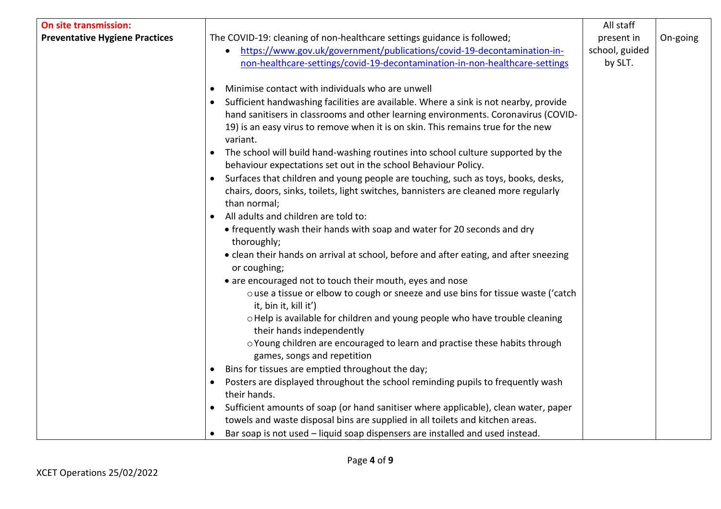| <b>On site transmission:</b>          |                                                                                                           | All staff      |          |
|---------------------------------------|-----------------------------------------------------------------------------------------------------------|----------------|----------|
| <b>Preventative Hygiene Practices</b> | The COVID-19: cleaning of non-healthcare settings guidance is followed;                                   | present in     | On-going |
|                                       | https://www.gov.uk/government/publications/covid-19-decontamination-in-                                   | school, guided |          |
|                                       | non-healthcare-settings/covid-19-decontamination-in-non-healthcare-settings                               | by SLT.        |          |
|                                       |                                                                                                           |                |          |
|                                       | Minimise contact with individuals who are unwell<br>$\bullet$                                             |                |          |
|                                       | Sufficient handwashing facilities are available. Where a sink is not nearby, provide                      |                |          |
|                                       | hand sanitisers in classrooms and other learning environments. Coronavirus (COVID-                        |                |          |
|                                       | 19) is an easy virus to remove when it is on skin. This remains true for the new                          |                |          |
|                                       | variant.                                                                                                  |                |          |
|                                       | The school will build hand-washing routines into school culture supported by the                          |                |          |
|                                       | behaviour expectations set out in the school Behaviour Policy.                                            |                |          |
|                                       | Surfaces that children and young people are touching, such as toys, books, desks,<br>$\bullet$            |                |          |
|                                       | chairs, doors, sinks, toilets, light switches, bannisters are cleaned more regularly                      |                |          |
|                                       | than normal;                                                                                              |                |          |
|                                       | All adults and children are told to:                                                                      |                |          |
|                                       | • frequently wash their hands with soap and water for 20 seconds and dry                                  |                |          |
|                                       | thoroughly;                                                                                               |                |          |
|                                       | • clean their hands on arrival at school, before and after eating, and after sneezing                     |                |          |
|                                       | or coughing;                                                                                              |                |          |
|                                       | • are encouraged not to touch their mouth, eyes and nose                                                  |                |          |
|                                       | o use a tissue or elbow to cough or sneeze and use bins for tissue waste ('catch<br>it, bin it, kill it') |                |          |
|                                       | o Help is available for children and young people who have trouble cleaning                               |                |          |
|                                       | their hands independently                                                                                 |                |          |
|                                       | o Young children are encouraged to learn and practise these habits through                                |                |          |
|                                       | games, songs and repetition                                                                               |                |          |
|                                       | Bins for tissues are emptied throughout the day;                                                          |                |          |
|                                       | Posters are displayed throughout the school reminding pupils to frequently wash<br>$\bullet$              |                |          |
|                                       | their hands.                                                                                              |                |          |
|                                       | Sufficient amounts of soap (or hand sanitiser where applicable), clean water, paper<br>$\bullet$          |                |          |
|                                       | towels and waste disposal bins are supplied in all toilets and kitchen areas.                             |                |          |
|                                       | Bar soap is not used - liquid soap dispensers are installed and used instead.                             |                |          |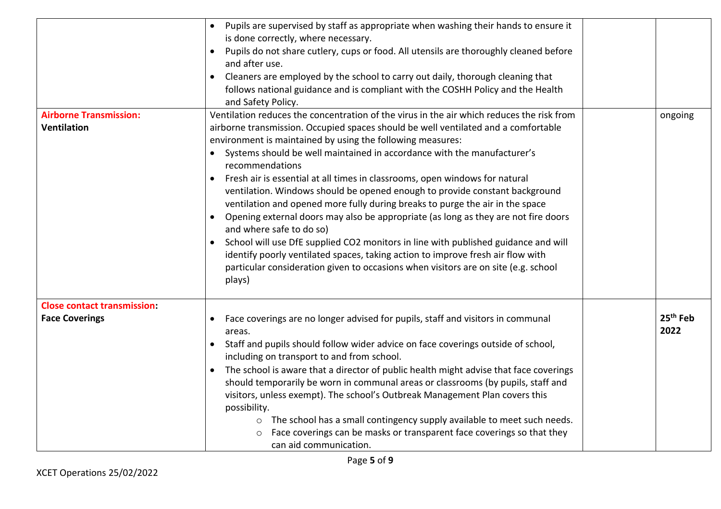|                                                     | Pupils are supervised by staff as appropriate when washing their hands to ensure it<br>is done correctly, where necessary.<br>Pupils do not share cutlery, cups or food. All utensils are thoroughly cleaned before<br>and after use.<br>Cleaners are employed by the school to carry out daily, thorough cleaning that<br>follows national guidance and is compliant with the COSHH Policy and the Health<br>and Safety Policy.                                                                                                                                                                                                                                                                                                                                                                                                                                                                                                                                                      |                              |  |
|-----------------------------------------------------|---------------------------------------------------------------------------------------------------------------------------------------------------------------------------------------------------------------------------------------------------------------------------------------------------------------------------------------------------------------------------------------------------------------------------------------------------------------------------------------------------------------------------------------------------------------------------------------------------------------------------------------------------------------------------------------------------------------------------------------------------------------------------------------------------------------------------------------------------------------------------------------------------------------------------------------------------------------------------------------|------------------------------|--|
| <b>Airborne Transmission:</b><br><b>Ventilation</b> | Ventilation reduces the concentration of the virus in the air which reduces the risk from<br>airborne transmission. Occupied spaces should be well ventilated and a comfortable<br>environment is maintained by using the following measures:<br>Systems should be well maintained in accordance with the manufacturer's<br>recommendations<br>Fresh air is essential at all times in classrooms, open windows for natural<br>ventilation. Windows should be opened enough to provide constant background<br>ventilation and opened more fully during breaks to purge the air in the space<br>Opening external doors may also be appropriate (as long as they are not fire doors<br>and where safe to do so)<br>School will use DfE supplied CO2 monitors in line with published guidance and will<br>identify poorly ventilated spaces, taking action to improve fresh air flow with<br>particular consideration given to occasions when visitors are on site (e.g. school<br>plays) | ongoing                      |  |
| <b>Close contact transmission:</b>                  |                                                                                                                                                                                                                                                                                                                                                                                                                                                                                                                                                                                                                                                                                                                                                                                                                                                                                                                                                                                       |                              |  |
| <b>Face Coverings</b>                               | Face coverings are no longer advised for pupils, staff and visitors in communal<br>areas.<br>Staff and pupils should follow wider advice on face coverings outside of school,<br>$\bullet$<br>including on transport to and from school.<br>The school is aware that a director of public health might advise that face coverings<br>should temporarily be worn in communal areas or classrooms (by pupils, staff and<br>visitors, unless exempt). The school's Outbreak Management Plan covers this<br>possibility.<br>The school has a small contingency supply available to meet such needs.<br>$\circ$<br>Face coverings can be masks or transparent face coverings so that they<br>$\circ$<br>can aid communication.                                                                                                                                                                                                                                                             | 25 <sup>th</sup> Feb<br>2022 |  |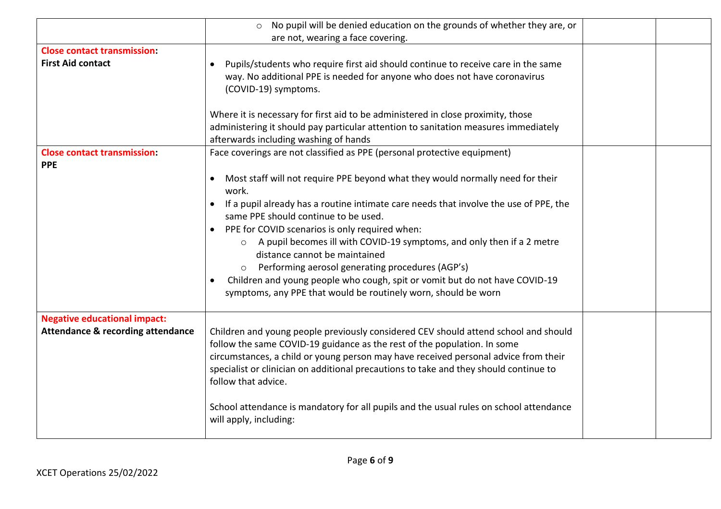|                                              | No pupil will be denied education on the grounds of whether they are, or<br>$\circ$            |  |
|----------------------------------------------|------------------------------------------------------------------------------------------------|--|
|                                              | are not, wearing a face covering.                                                              |  |
| <b>Close contact transmission:</b>           |                                                                                                |  |
| <b>First Aid contact</b>                     | Pupils/students who require first aid should continue to receive care in the same<br>$\bullet$ |  |
|                                              | way. No additional PPE is needed for anyone who does not have coronavirus                      |  |
|                                              | (COVID-19) symptoms.                                                                           |  |
|                                              |                                                                                                |  |
|                                              | Where it is necessary for first aid to be administered in close proximity, those               |  |
|                                              | administering it should pay particular attention to sanitation measures immediately            |  |
|                                              | afterwards including washing of hands                                                          |  |
| <b>Close contact transmission:</b>           | Face coverings are not classified as PPE (personal protective equipment)                       |  |
| <b>PPE</b>                                   |                                                                                                |  |
|                                              | Most staff will not require PPE beyond what they would normally need for their<br>$\bullet$    |  |
|                                              | work.                                                                                          |  |
|                                              | If a pupil already has a routine intimate care needs that involve the use of PPE, the          |  |
|                                              | same PPE should continue to be used.                                                           |  |
|                                              | PPE for COVID scenarios is only required when:<br>$\bullet$                                    |  |
|                                              | A pupil becomes ill with COVID-19 symptoms, and only then if a 2 metre                         |  |
|                                              | distance cannot be maintained                                                                  |  |
|                                              | Performing aerosol generating procedures (AGP's)                                               |  |
|                                              | Children and young people who cough, spit or vomit but do not have COVID-19<br>$\bullet$       |  |
|                                              | symptoms, any PPE that would be routinely worn, should be worn                                 |  |
|                                              |                                                                                                |  |
| <b>Negative educational impact:</b>          |                                                                                                |  |
| <b>Attendance &amp; recording attendance</b> | Children and young people previously considered CEV should attend school and should            |  |
|                                              | follow the same COVID-19 guidance as the rest of the population. In some                       |  |
|                                              | circumstances, a child or young person may have received personal advice from their            |  |
|                                              | specialist or clinician on additional precautions to take and they should continue to          |  |
|                                              | follow that advice.                                                                            |  |
|                                              |                                                                                                |  |
|                                              | School attendance is mandatory for all pupils and the usual rules on school attendance         |  |
|                                              | will apply, including:                                                                         |  |
|                                              |                                                                                                |  |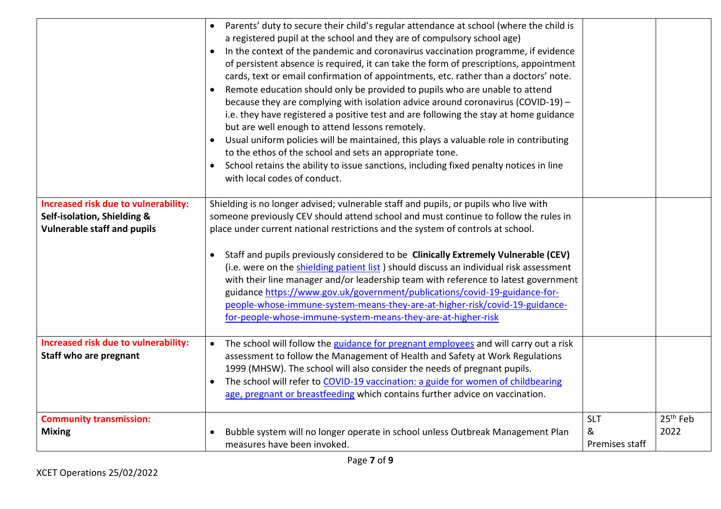|                                                                                                           | Parents' duty to secure their child's regular attendance at school (where the child is<br>a registered pupil at the school and they are of compulsory school age)<br>In the context of the pandemic and coronavirus vaccination programme, if evidence<br>of persistent absence is required, it can take the form of prescriptions, appointment<br>cards, text or email confirmation of appointments, etc. rather than a doctors' note.<br>Remote education should only be provided to pupils who are unable to attend<br>because they are complying with isolation advice around coronavirus (COVID-19) -<br>i.e. they have registered a positive test and are following the stay at home guidance<br>but are well enough to attend lessons remotely.<br>Usual uniform policies will be maintained, this plays a valuable role in contributing<br>to the ethos of the school and sets an appropriate tone.<br>School retains the ability to issue sanctions, including fixed penalty notices in line<br>$\bullet$<br>with local codes of conduct. |                                   |                              |
|-----------------------------------------------------------------------------------------------------------|----------------------------------------------------------------------------------------------------------------------------------------------------------------------------------------------------------------------------------------------------------------------------------------------------------------------------------------------------------------------------------------------------------------------------------------------------------------------------------------------------------------------------------------------------------------------------------------------------------------------------------------------------------------------------------------------------------------------------------------------------------------------------------------------------------------------------------------------------------------------------------------------------------------------------------------------------------------------------------------------------------------------------------------------------|-----------------------------------|------------------------------|
| Increased risk due to vulnerability:<br>Self-isolation, Shielding &<br><b>Vulnerable staff and pupils</b> | Shielding is no longer advised; vulnerable staff and pupils, or pupils who live with<br>someone previously CEV should attend school and must continue to follow the rules in<br>place under current national restrictions and the system of controls at school.<br>Staff and pupils previously considered to be Clinically Extremely Vulnerable (CEV)<br>(i.e. were on the shielding patient list) should discuss an individual risk assessment<br>with their line manager and/or leadership team with reference to latest government<br>guidance https://www.gov.uk/government/publications/covid-19-guidance-for-<br>people-whose-immune-system-means-they-are-at-higher-risk/covid-19-guidance-<br>for-people-whose-immune-system-means-they-are-at-higher-risk                                                                                                                                                                                                                                                                                 |                                   |                              |
| Increased risk due to vulnerability:<br>Staff who are pregnant                                            | The school will follow the guidance for pregnant employees and will carry out a risk<br>assessment to follow the Management of Health and Safety at Work Regulations<br>1999 (MHSW). The school will also consider the needs of pregnant pupils.<br>The school will refer to COVID-19 vaccination: a guide for women of childbearing<br>age, pregnant or breastfeeding which contains further advice on vaccination.                                                                                                                                                                                                                                                                                                                                                                                                                                                                                                                                                                                                                               |                                   |                              |
| <b>Community transmission:</b><br><b>Mixing</b>                                                           | Bubble system will no longer operate in school unless Outbreak Management Plan<br>measures have been invoked.                                                                                                                                                                                                                                                                                                                                                                                                                                                                                                                                                                                                                                                                                                                                                                                                                                                                                                                                      | <b>SLT</b><br>&<br>Premises staff | 25 <sup>th</sup> Feb<br>2022 |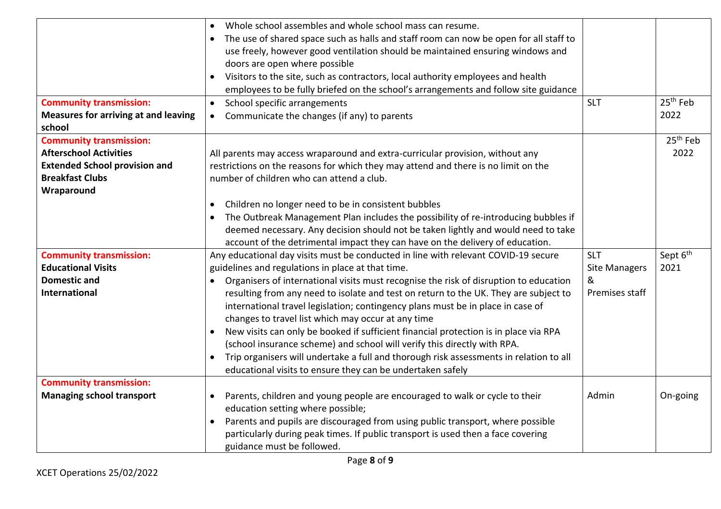| <b>Community transmission:</b>                                                                                                                  | Whole school assembles and whole school mass can resume.<br>The use of shared space such as halls and staff room can now be open for all staff to<br>$\bullet$<br>use freely, however good ventilation should be maintained ensuring windows and<br>doors are open where possible<br>Visitors to the site, such as contractors, local authority employees and health<br>$\bullet$<br>employees to be fully briefed on the school's arrangements and follow site guidance<br>School specific arrangements<br>$\bullet$                                                  | <b>SLT</b>           | 25 <sup>th</sup> Feb         |
|-------------------------------------------------------------------------------------------------------------------------------------------------|------------------------------------------------------------------------------------------------------------------------------------------------------------------------------------------------------------------------------------------------------------------------------------------------------------------------------------------------------------------------------------------------------------------------------------------------------------------------------------------------------------------------------------------------------------------------|----------------------|------------------------------|
| <b>Measures for arriving at and leaving</b><br>school                                                                                           | Communicate the changes (if any) to parents<br>$\bullet$                                                                                                                                                                                                                                                                                                                                                                                                                                                                                                               |                      | 2022                         |
| <b>Community transmission:</b><br><b>Afterschool Activities</b><br><b>Extended School provision and</b><br><b>Breakfast Clubs</b><br>Wraparound | All parents may access wraparound and extra-curricular provision, without any<br>restrictions on the reasons for which they may attend and there is no limit on the<br>number of children who can attend a club.                                                                                                                                                                                                                                                                                                                                                       |                      | 25 <sup>th</sup> Feb<br>2022 |
|                                                                                                                                                 | Children no longer need to be in consistent bubbles<br>$\bullet$<br>The Outbreak Management Plan includes the possibility of re-introducing bubbles if<br>$\bullet$<br>deemed necessary. Any decision should not be taken lightly and would need to take<br>account of the detrimental impact they can have on the delivery of education.                                                                                                                                                                                                                              |                      |                              |
| <b>Community transmission:</b>                                                                                                                  | Any educational day visits must be conducted in line with relevant COVID-19 secure                                                                                                                                                                                                                                                                                                                                                                                                                                                                                     | <b>SLT</b>           | Sept 6 <sup>th</sup>         |
| <b>Educational Visits</b>                                                                                                                       | guidelines and regulations in place at that time.                                                                                                                                                                                                                                                                                                                                                                                                                                                                                                                      | <b>Site Managers</b> | 2021                         |
| <b>Domestic and</b>                                                                                                                             | Organisers of international visits must recognise the risk of disruption to education                                                                                                                                                                                                                                                                                                                                                                                                                                                                                  | &                    |                              |
| <b>International</b>                                                                                                                            | resulting from any need to isolate and test on return to the UK. They are subject to<br>international travel legislation; contingency plans must be in place in case of<br>changes to travel list which may occur at any time<br>New visits can only be booked if sufficient financial protection is in place via RPA<br>(school insurance scheme) and school will verify this directly with RPA.<br>Trip organisers will undertake a full and thorough risk assessments in relation to all<br>$\bullet$<br>educational visits to ensure they can be undertaken safely | Premises staff       |                              |
| <b>Community transmission:</b>                                                                                                                  |                                                                                                                                                                                                                                                                                                                                                                                                                                                                                                                                                                        |                      |                              |
| <b>Managing school transport</b>                                                                                                                | Parents, children and young people are encouraged to walk or cycle to their<br>$\bullet$<br>education setting where possible;<br>Parents and pupils are discouraged from using public transport, where possible<br>$\bullet$<br>particularly during peak times. If public transport is used then a face covering<br>guidance must be followed.                                                                                                                                                                                                                         | Admin                | On-going                     |